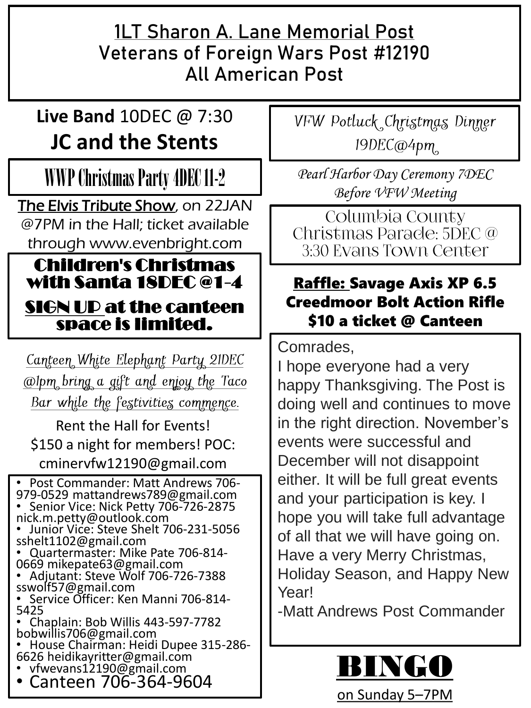#### **1LT Sharon A. Lane Memorial Post Veterans of Foreign Wars Post #12190 All American Post**

## **Live Band** 10DEC @ 7:30 **JC and the Stents**

## WWP Christmas Party 4DEC 11-2

The Elvis Tribute Show, on 22JAN @7PM in the Hall; ticket available through www.evenbright.com

#### Children's Christmas with Santa 18DEC @1-4

#### SIGN UP at the canteen space is limited.

Canteen White Elephant Party 21DEC *Colpm bring a gift and enjoy the Taco* Bar while the festivities commence.

Rent the Hall for Events! \$150 a night for members! POC: cminervfw12190@gmail.com

• Post Commander: Matt Andrews 706- 979-0529 mattandrews789@gmail.com • Senior Vice: Nick Petty 706-726-2875

- nick.m.petty@outlook.com • Junior Vice: Steve Shelt 706-231-5056 sshelt1102@gmail.com
- Quartermaster: Mike Pate 706-814- 0669 mikepate63@gmail.com
- Adjutant: Steve Wolf 706-726-7388 sswolf57@gmail.com
- Service Officer: Ken Manni 706-814- 5425
- Chaplain: Bob Willis 443-597-7782 bobwillis706@gmail.com
- House Chairman: Heidi Dupee 315-286- 6626 heidikayritter@gmail.com
- vfwevans12190@gmail.com
- Canteen 706-364-9604

VFW Potluck Christmas Dinner 19DEC@4pm

*Pearl Harbor Day Ceremony 7DEC Before VFW Meeting* 

Columbia County Christmas Parade: 5DEC @ 3:30 Evans Town Center

#### Raffle: Savage Axis XP 6.5 Creedmoor Bolt Action Rifle \$10 a ticket @ Canteen

Comrades,

I hope everyone had a very happy Thanksgiving. The Post is doing well and continues to move in the right direction. November's events were successful and December will not disappoint either. It will be full great events and your participation is key. I hope you will take full advantage of all that we will have going on. Have a very Merry Christmas, Holiday Season, and Happy New Year!

-Matt Andrews Post Commander